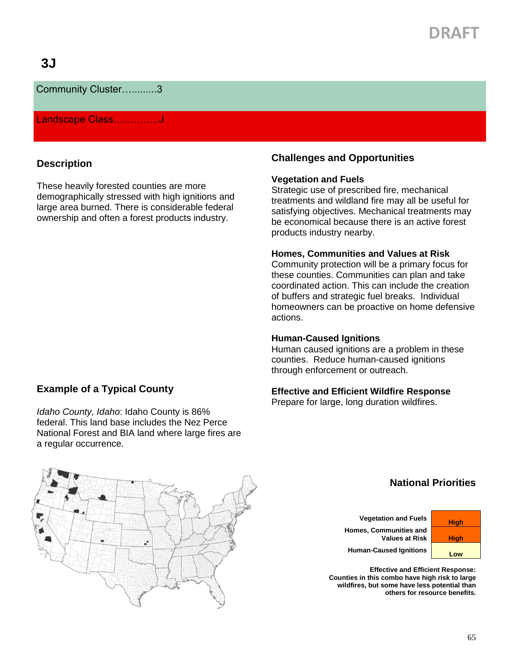# **DRAFT**

### Community Cluster….........3

#### Landscape Class..............J

#### **Description**

These heavily forested counties are more demographically stressed with high ignitions and large area burned. There is considerable federal ownership and often a forest products industry.

#### **Example of a Typical County**

*Idaho County, Idaho*: Idaho County is 86% federal. This land base includes the Nez Perce National Forest and BIA land where large fires are a regular occurrence.

#### **Challenges and Opportunities**

#### **Vegetation and Fuels**

Strategic use of prescribed fire, mechanical treatments and wildland fire may all be useful for satisfying objectives. Mechanical treatments may be economical because there is an active forest products industry nearby.

#### **Homes, Communities and Values at Risk**

Community protection will be a primary focus for these counties. Communities can plan and take coordinated action. This can include the creation of buffers and strategic fuel breaks. Individual homeowners can be proactive on home defensive actions.

#### **Human-Caused Ignitions**

Human caused ignitions are a problem in these counties. Reduce human-caused ignitions through enforcement or outreach.

#### **Effective and Efficient Wildfire Response**

Prepare for large, long duration wildfires.



### **National Priorities**

**Vegetation and Fuels High Homes, Communities and Values at Risk | High** 

Human-Caused Ignitions **Low** 

**Effective and Efficient Response: Counties in this combo have high risk to large wildfires, but some have less potential than others for resource benefits.**